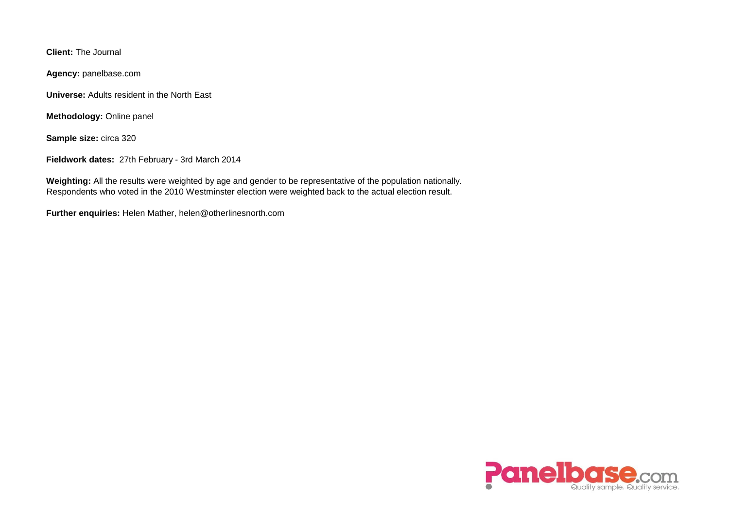**Client:** The Journal

**Agency:** panelbase.com

**Universe:** Adults resident in the North East

**Methodology:** Online panel

**Sample size:** circa 320

**Fieldwork dates:** 27th February - 3rd March 2014

**Weighting:** All the results were weighted by age and gender to be representative of the population nationally. Respondents who voted in the 2010 Westminster election were weighted back to the actual election result.

**Further enquiries:** Helen Mather, helen@otherlinesnorth.com

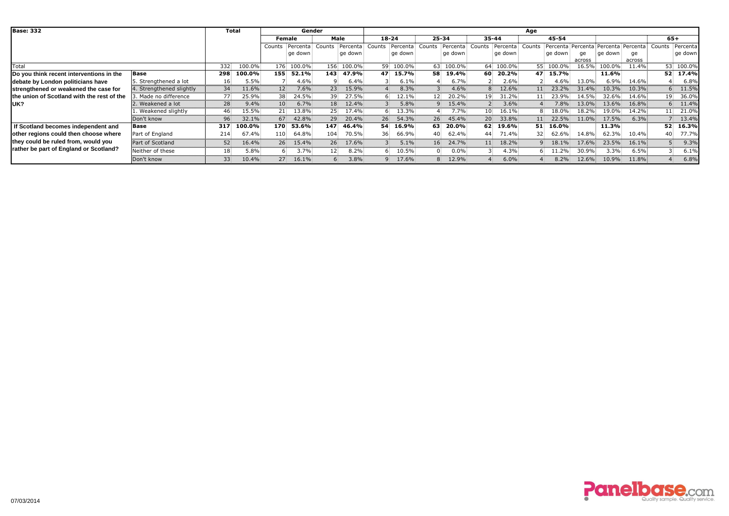| <b>Base: 332</b>                           |                          | <b>Total</b>    |        | Gender           |          |                 |            | Age    |                     |              |           |              |           |                 |             |                 |           |                 |        |           |
|--------------------------------------------|--------------------------|-----------------|--------|------------------|----------|-----------------|------------|--------|---------------------|--------------|-----------|--------------|-----------|-----------------|-------------|-----------------|-----------|-----------------|--------|-----------|
|                                            |                          |                 |        | Female           |          | Male            |            |        | $18 - 24$           |              | 25-34     | 35-44        |           |                 | 45-54       |                 |           |                 | 65+    |           |
|                                            |                          |                 |        | Counts           | Percenta | Counts          | Percenta   | Counts | Percenta            | Counts       | Percenta  | Counts       | Percenta  | Coun            | Percenta    | Percenta        | Percenta: | Percenta        | Counts | Percenta  |
|                                            |                          |                 |        |                  | ge down  |                 | ge down    |        | ge down             |              | ge down   |              | ge down   |                 | ge down     | ge              | ge down   | qe              |        | ge down   |
| Total                                      |                          | 332             | 100.0% | 176              | 100.0%   |                 | 156 100.0% |        | 59 100.0%           |              | 63 100.0% |              | 64 100.0% | $55\frac{1}{2}$ | 100.0%      | across<br>16.5% | 100.0%    | across<br>11.4% |        | 53 100.0% |
| Do you think recent interventions in the   | <b>Base</b>              | 298             | 100.0% | 155              | 52.1%    |                 | 143 47.9%  |        | 47 15.7%            | 58           | 19.4%     |              | 60 20.2%  | 47              | 15.7%       |                 | 11.6%     |                 |        | 52 17.4%  |
| debate by London politicians have          | . Strengthened a lot     | ΤP              | 5.5%   |                  | 4.6%     |                 | 6.4%       |        | 6.1%                |              | 6.7%      |              | 2.6%      |                 | 4.6%        | 13.0%           | 6.9%      | 14.6%           |        | 6.8%      |
| strengthened or weakened the case for      | I. Strengthened slightly | 34              | 11.6%  | 12 <sub>1</sub>  | 7.6%     | 231             | 15.9%      |        | 8.3%                |              | 4.6%      |              | 12.6%     |                 | 23.2%       | 31.4%           | $10.3\%$  | 10.3%           |        | 6 11.5%   |
| the union of Scotland with the rest of the | Made no difference       | 77 <sup>3</sup> | 25.9%  | 38.              | 24.5%    | 39.             | 27.5%      |        | $6\frac{12.1\%}{1}$ | 12.          | 20.2%     | 19.          | 31.2%     |                 | 23.9%       | 14.5%           | 32.6%     | 14.6%           | 19     | 36.0%     |
| <b>JUK?</b>                                | Weakened a lot           | 28              | 9.4%   | 10:              | 6.7%     | $18^{\circ}$    | 12.4%      |        | 5.8%                |              | 15.4%     |              | 3.6%      |                 | $7.8\%$     | 13.0%           | 13.6%     | 16.8%           |        | 6 11.4%   |
|                                            | Weakened slightly        | 46              | 15.5%  | 21               | 13.8%    | $25^{\circ}$    | 17.4%      |        | $6\frac{13.3\%}{1}$ |              | 7.7%      | $10^{\circ}$ | 16.1%     |                 | 18.0%       | 18.2%           | 19.0%     | 14.2%           | 11     | 21.0%     |
|                                            | Don't know               | 96              | 32.1%  | 67               | 42.8%    | 291             | 20.4%      |        | 26 54.3%            | $26^{\circ}$ | 45.4%     |              | 20 33.8%  |                 | 22.5%       | 11.0%           | 17.5%     | 6.3%            |        | 13.4%     |
| If Scotland becomes independent and        | <b>Base</b>              | 317             | 100.0% | 170              | 53.6%    | 147             | 46.4%      |        | 54 16.9%            | 63           | 20.0%     |              | 62 19.6%  | 51              | 16.0%       |                 | 11.3%     |                 | 52     | 16.3%     |
| other regions could then choose where      | Part of England          | 214             | 67.4%  | 110 <sub>1</sub> | 64.8%    | 104             | 70.5%      | 36.    | 66.9%               | -40          | 62.4%     | 44           | 71.4%     | 32.             | 62.6%       | 14.8%           | 62.3%     | 10.4%           | 40     | 77.7%     |
| they could be ruled from, would you        | Part of Scotland         | 52              | 16.4%  | 26 <sup>2</sup>  | 15.4%    | 26 <sup>1</sup> | 17.6%      |        | 5.1%                | 16           | 24.7%     |              | 18.2%     |                 | 18.1%       | 17.6%           | 23.5%     | 16.1%           |        | 9.3%      |
| rather be part of England or Scotland?     | Neither of these         | 18 <sup>3</sup> | 5.8%   | b÷               | 3.7%     | 12 <sup>1</sup> | 8.2%       |        | 6 10.5%             |              | 0.0%      | 3            | 4.3%      |                 | $6: 11.2\%$ | 30.9%           | 3.3%      | 6.5%            | 3.     | 6.1%      |
|                                            | )on't know               | 33              | 10.4%  | 27 <sup>3</sup>  | 16.1%    | 6               | 3.8%       |        | 9 17.6%             |              | 12.9%     |              | 6.0%      |                 | 8.2%        | 12.6%           | 10.9%     | 11.8%           |        | 6.8%      |

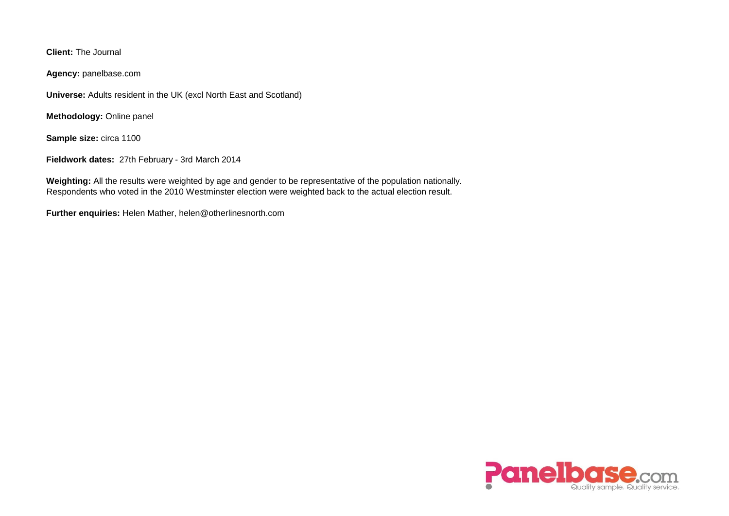**Client:** The Journal

**Agency:** panelbase.com

**Universe:** Adults resident in the UK (excl North East and Scotland)

**Methodology:** Online panel

**Sample size:** circa 1100

**Fieldwork dates:** 27th February - 3rd March 2014

**Weighting:** All the results were weighted by age and gender to be representative of the population nationally. Respondents who voted in the 2010 Westminster election were weighted back to the actual election result.

**Further enquiries:** Helen Mather, helen@otherlinesnorth.com